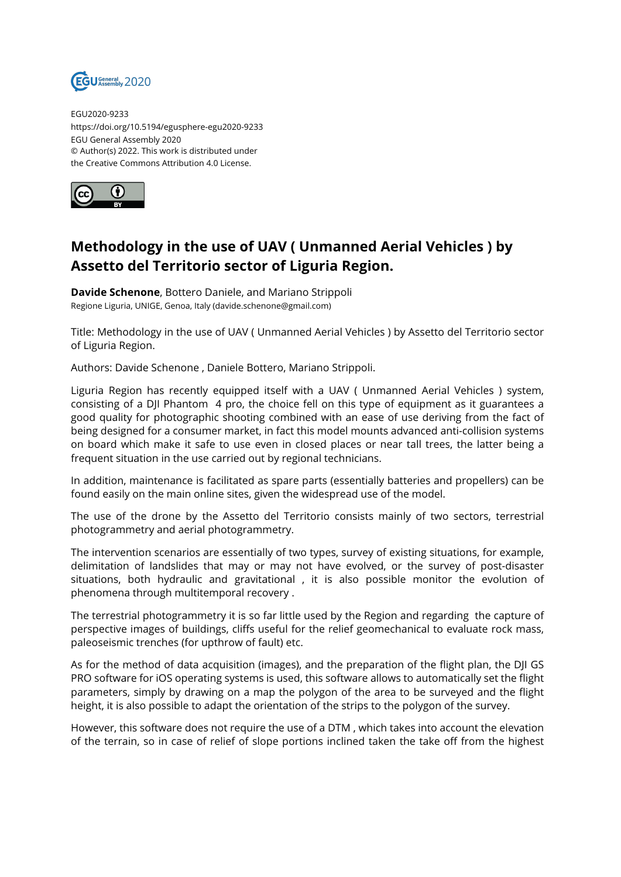

EGU2020-9233 https://doi.org/10.5194/egusphere-egu2020-9233 EGU General Assembly 2020 © Author(s) 2022. This work is distributed under the Creative Commons Attribution 4.0 License.



## **Methodology in the use of UAV ( Unmanned Aerial Vehicles ) by Assetto del Territorio sector of Liguria Region.**

**Davide Schenone**, Bottero Daniele, and Mariano Strippoli Regione Liguria, UNIGE, Genoa, Italy (davide.schenone@gmail.com)

Title: Methodology in the use of UAV ( Unmanned Aerial Vehicles ) by Assetto del Territorio sector of Liguria Region.

Authors: Davide Schenone , Daniele Bottero, Mariano Strippoli.

Liguria Region has recently equipped itself with a UAV ( Unmanned Aerial Vehicles ) system, consisting of a DJI Phantom 4 pro, the choice fell on this type of equipment as it guarantees a good quality for photographic shooting combined with an ease of use deriving from the fact of being designed for a consumer market, in fact this model mounts advanced anti-collision systems on board which make it safe to use even in closed places or near tall trees, the latter being a frequent situation in the use carried out by regional technicians.

In addition, maintenance is facilitated as spare parts (essentially batteries and propellers) can be found easily on the main online sites, given the widespread use of the model.

The use of the drone by the Assetto del Territorio consists mainly of two sectors, terrestrial photogrammetry and aerial photogrammetry.

The intervention scenarios are essentially of two types, survey of existing situations, for example, delimitation of landslides that may or may not have evolved, or the survey of post-disaster situations, both hydraulic and gravitational , it is also possible monitor the evolution of phenomena through multitemporal recovery .

The terrestrial photogrammetry it is so far little used by the Region and regarding the capture of perspective images of buildings, cliffs useful for the relief geomechanical to evaluate rock mass, paleoseismic trenches (for upthrow of fault) etc.

As for the method of data acquisition (images), and the preparation of the flight plan, the DJI GS PRO software for iOS operating systems is used, this software allows to automatically set the flight parameters, simply by drawing on a map the polygon of the area to be surveyed and the flight height, it is also possible to adapt the orientation of the strips to the polygon of the survey.

However, this software does not require the use of a DTM , which takes into account the elevation of the terrain, so in case of relief of slope portions inclined taken the take off from the highest